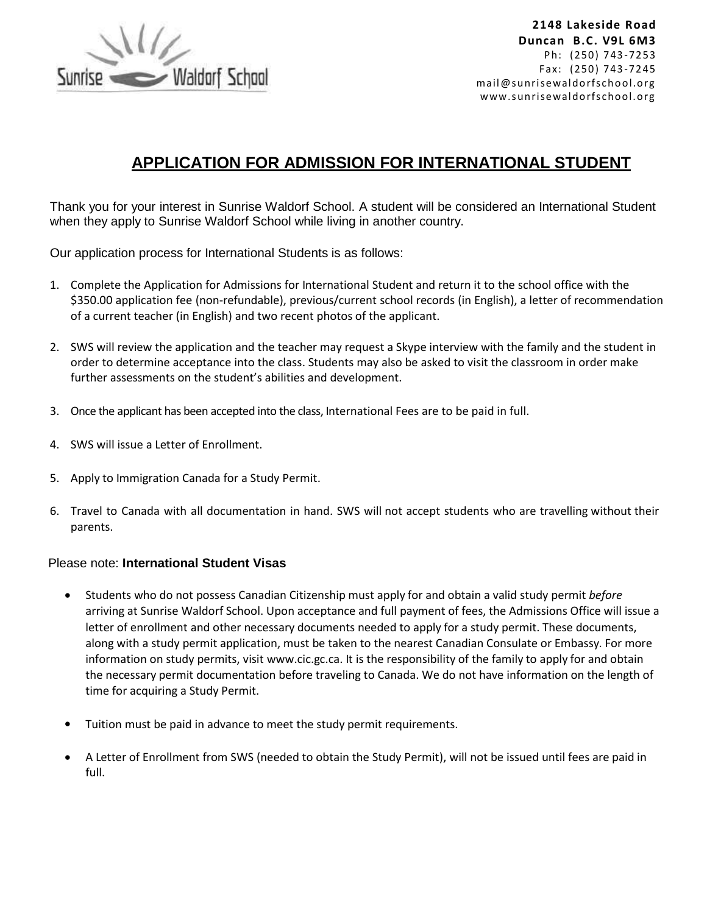

# **APPLICATION FOR ADMISSION FOR INTERNATIONAL STUDENT**

Thank you for your interest in Sunrise Waldorf School. A student will be considered an International Student when they apply to Sunrise Waldorf School while living in another country.

Our application process for International Students is as follows:

- 1. Complete the Application for Admissions for International Student and return it to the school office with the \$350.00 application fee (non-refundable), previous/current school records (in English), a letter of recommendation of a current teacher (in English) and two recent photos of the applicant.
- 2. SWS will review the application and the teacher may request a Skype interview with the family and the student in order to determine acceptance into the class. Students may also be asked to visit the classroom in order make further assessments on the student's abilities and development.
- 3. Once the applicant has been accepted into the class, International Fees are to be paid in full.
- 4. SWS will issue a Letter of Enrollment.
- 5. Apply to Immigration Canada for a Study Permit.
- 6. Travel to Canada with all documentation in hand. SWS will not accept students who are travelling without their parents.

## Please note: **International Student Visas**

- Students who do not possess Canadian Citizenship must apply for and obtain a valid study permit *before*  arriving at Sunrise Waldorf School. Upon acceptance and full payment of fees, the Admissions Office will issue a letter of enrollment and other necessary documents needed to apply for a study permit. These documents, along with a study permit application, must be taken to the nearest Canadian Consulate or Embassy. For more information on study permits, visit [www.cic.gc.ca.](http://dwightinternational.com/www.cic.gc.ca) It is the responsibility of the family to apply for and obtain the necessary permit documentation before traveling to Canada. We do not have information on the length of time for acquiring a Study Permit.
- Tuition must be paid in advance to meet the study permit requirements.
- A Letter of Enrollment from SWS (needed to obtain the Study Permit), will not be issued until fees are paid in full.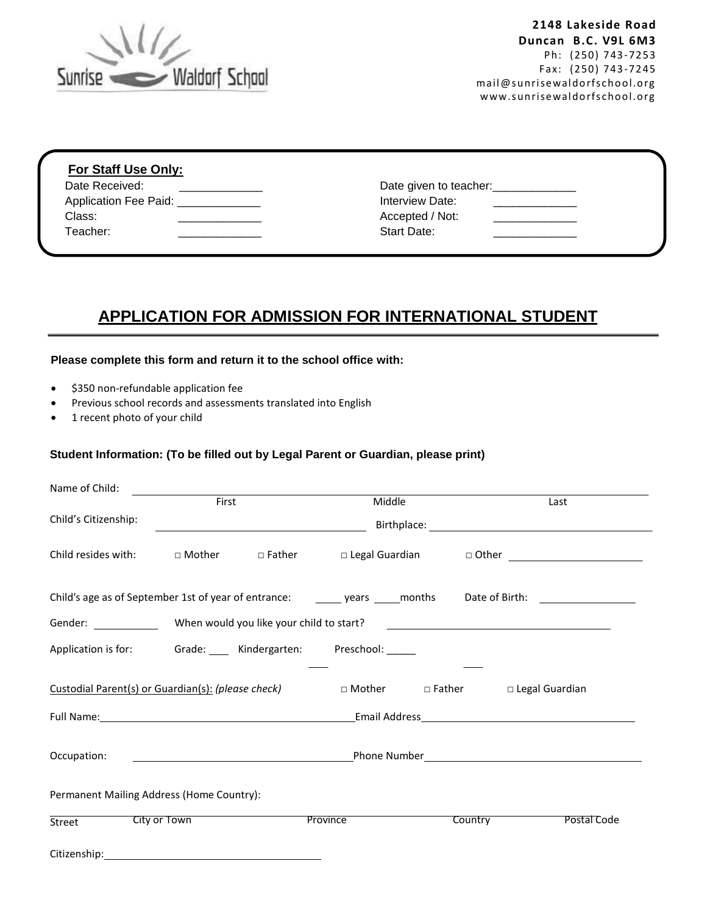

| Date Received:                       | Date given to teacher: |
|--------------------------------------|------------------------|
| Application Fee Paid: ______________ | Interview Date:        |
| Class:                               | Accepted / Not:        |
| Teacher:                             | Start Date:            |

# **APPLICATION FOR ADMISSION FOR INTERNATIONAL STUDENT**

## **Please complete this form and return it to the school office with:**

- **•** \$350 non-refundable application fee
- Previous school records and assessments translated into English
- 1 recent photo of your child

#### **Student Information: (To be filled out by Legal Parent or Guardian, please print)**

|                                                    | <u>First</u>                                                                                                                                                                                                                              |                                                      | Middle                                                        |  | Last                                                                                                                                                                                                                        |  |  |  |
|----------------------------------------------------|-------------------------------------------------------------------------------------------------------------------------------------------------------------------------------------------------------------------------------------------|------------------------------------------------------|---------------------------------------------------------------|--|-----------------------------------------------------------------------------------------------------------------------------------------------------------------------------------------------------------------------------|--|--|--|
| Child's Citizenship:                               |                                                                                                                                                                                                                                           | <u> 1980 - Johann Barn, fransk politik (d. 1980)</u> |                                                               |  |                                                                                                                                                                                                                             |  |  |  |
|                                                    |                                                                                                                                                                                                                                           |                                                      |                                                               |  | Child resides with:  □ Mother  □ Father  □ Legal Guardian  □ Other  □ Other  □ Other  □ Other  □ Other  □ Other  □ Other  □ Other  □ Other  □ Other  □ Other  □ Other  □ Other  □ Other  □ Other  □ Other  □ Other  □ Other |  |  |  |
|                                                    |                                                                                                                                                                                                                                           |                                                      |                                                               |  |                                                                                                                                                                                                                             |  |  |  |
|                                                    |                                                                                                                                                                                                                                           |                                                      |                                                               |  |                                                                                                                                                                                                                             |  |  |  |
|                                                    |                                                                                                                                                                                                                                           |                                                      | Application is for: Grade: ___ Kindergarten: Preschool: _____ |  |                                                                                                                                                                                                                             |  |  |  |
| Custodial Parent(s) or Guardian(s): (please check) |                                                                                                                                                                                                                                           |                                                      | □ Mother Do Father                                            |  | $\Box$ Legal Guardian                                                                                                                                                                                                       |  |  |  |
|                                                    | Full Name: and the contract of the contract of the contract of the contract of the contract of the contract of the contract of the contract of the contract of the contract of the contract of the contract of the contract of            |                                                      |                                                               |  |                                                                                                                                                                                                                             |  |  |  |
| Occupation:                                        | <b>Phone Number</b> Parameters and the set of the set of the set of the set of the Phone Number <b>Contract and the set of the set of the set of the set of the set of the set of the set of the set of the set of the set of the set</b> |                                                      |                                                               |  |                                                                                                                                                                                                                             |  |  |  |
| Permanent Mailing Address (Home Country):          |                                                                                                                                                                                                                                           |                                                      |                                                               |  |                                                                                                                                                                                                                             |  |  |  |
|                                                    | City or Town                                                                                                                                                                                                                              |                                                      | Province                                                      |  | Country <b>Country</b><br>Postal Code                                                                                                                                                                                       |  |  |  |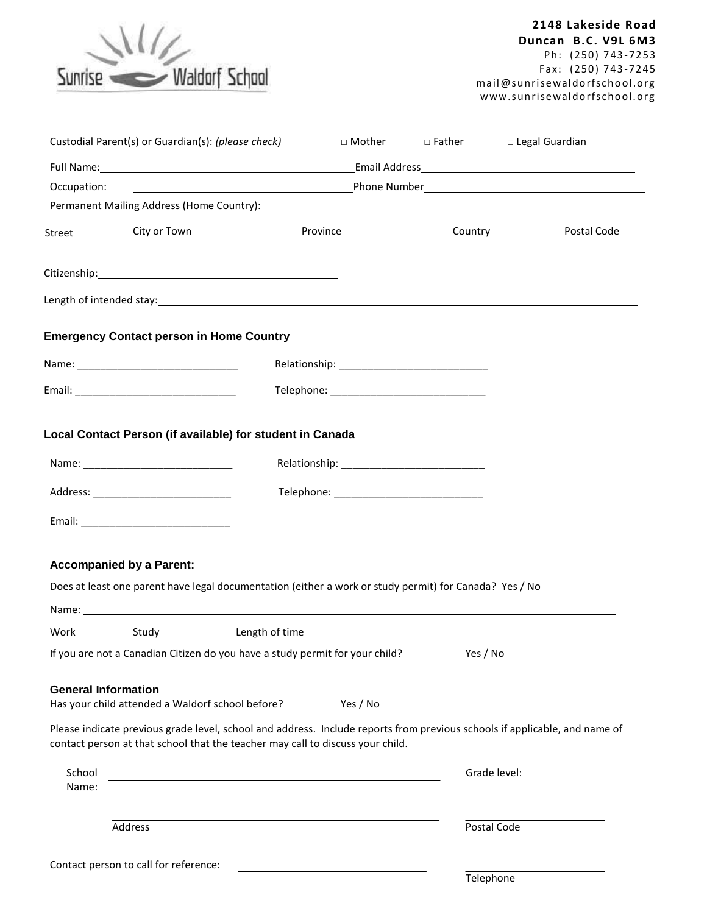

|                            | Custodial Parent(s) or Guardian(s): (please check) |                                                                                                                                                                                                                                | $\Box$ Mother | $\Box$ Father | □ Legal Guardian                                                                                                           |  |  |  |  |
|----------------------------|----------------------------------------------------|--------------------------------------------------------------------------------------------------------------------------------------------------------------------------------------------------------------------------------|---------------|---------------|----------------------------------------------------------------------------------------------------------------------------|--|--|--|--|
|                            |                                                    |                                                                                                                                                                                                                                |               |               |                                                                                                                            |  |  |  |  |
| Occupation:                |                                                    |                                                                                                                                                                                                                                |               |               |                                                                                                                            |  |  |  |  |
|                            | Permanent Mailing Address (Home Country):          |                                                                                                                                                                                                                                |               |               |                                                                                                                            |  |  |  |  |
| Street                     |                                                    | <b>City or Town City Province</b>                                                                                                                                                                                              |               |               | Country<br>Postal Code                                                                                                     |  |  |  |  |
|                            |                                                    |                                                                                                                                                                                                                                |               |               |                                                                                                                            |  |  |  |  |
|                            |                                                    | Length of intended stay: example and the state of the state of the state of the state of the state of the state of the state of the state of the state of the state of the state of the state of the state of the state of the |               |               |                                                                                                                            |  |  |  |  |
|                            | <b>Emergency Contact person in Home Country</b>    |                                                                                                                                                                                                                                |               |               |                                                                                                                            |  |  |  |  |
|                            |                                                    |                                                                                                                                                                                                                                |               |               |                                                                                                                            |  |  |  |  |
|                            |                                                    |                                                                                                                                                                                                                                |               |               |                                                                                                                            |  |  |  |  |
|                            |                                                    |                                                                                                                                                                                                                                |               |               |                                                                                                                            |  |  |  |  |
|                            |                                                    | Local Contact Person (if available) for student in Canada                                                                                                                                                                      |               |               |                                                                                                                            |  |  |  |  |
|                            |                                                    |                                                                                                                                                                                                                                |               |               |                                                                                                                            |  |  |  |  |
|                            | Address: ________________________________          | Telephone: _________________________________                                                                                                                                                                                   |               |               |                                                                                                                            |  |  |  |  |
|                            |                                                    |                                                                                                                                                                                                                                |               |               |                                                                                                                            |  |  |  |  |
|                            |                                                    |                                                                                                                                                                                                                                |               |               |                                                                                                                            |  |  |  |  |
|                            | <b>Accompanied by a Parent:</b>                    |                                                                                                                                                                                                                                |               |               |                                                                                                                            |  |  |  |  |
|                            |                                                    | Does at least one parent have legal documentation (either a work or study permit) for Canada? Yes / No                                                                                                                         |               |               |                                                                                                                            |  |  |  |  |
|                            |                                                    |                                                                                                                                                                                                                                |               |               |                                                                                                                            |  |  |  |  |
|                            |                                                    |                                                                                                                                                                                                                                |               |               |                                                                                                                            |  |  |  |  |
|                            |                                                    | If you are not a Canadian Citizen do you have a study permit for your child? Yes / No                                                                                                                                          |               |               |                                                                                                                            |  |  |  |  |
|                            |                                                    |                                                                                                                                                                                                                                |               |               |                                                                                                                            |  |  |  |  |
| <b>General Information</b> | Has your child attended a Waldorf school before?   |                                                                                                                                                                                                                                | Yes / No      |               |                                                                                                                            |  |  |  |  |
|                            |                                                    |                                                                                                                                                                                                                                |               |               |                                                                                                                            |  |  |  |  |
|                            |                                                    | contact person at that school that the teacher may call to discuss your child.                                                                                                                                                 |               |               | Please indicate previous grade level, school and address. Include reports from previous schools if applicable, and name of |  |  |  |  |
| School                     |                                                    |                                                                                                                                                                                                                                |               |               | Grade level:                                                                                                               |  |  |  |  |
| Name:                      |                                                    |                                                                                                                                                                                                                                |               |               |                                                                                                                            |  |  |  |  |
|                            | Address                                            |                                                                                                                                                                                                                                |               | Postal Code   |                                                                                                                            |  |  |  |  |
|                            |                                                    |                                                                                                                                                                                                                                |               |               |                                                                                                                            |  |  |  |  |
|                            | Contact person to call for reference:              |                                                                                                                                                                                                                                |               | Telephone     |                                                                                                                            |  |  |  |  |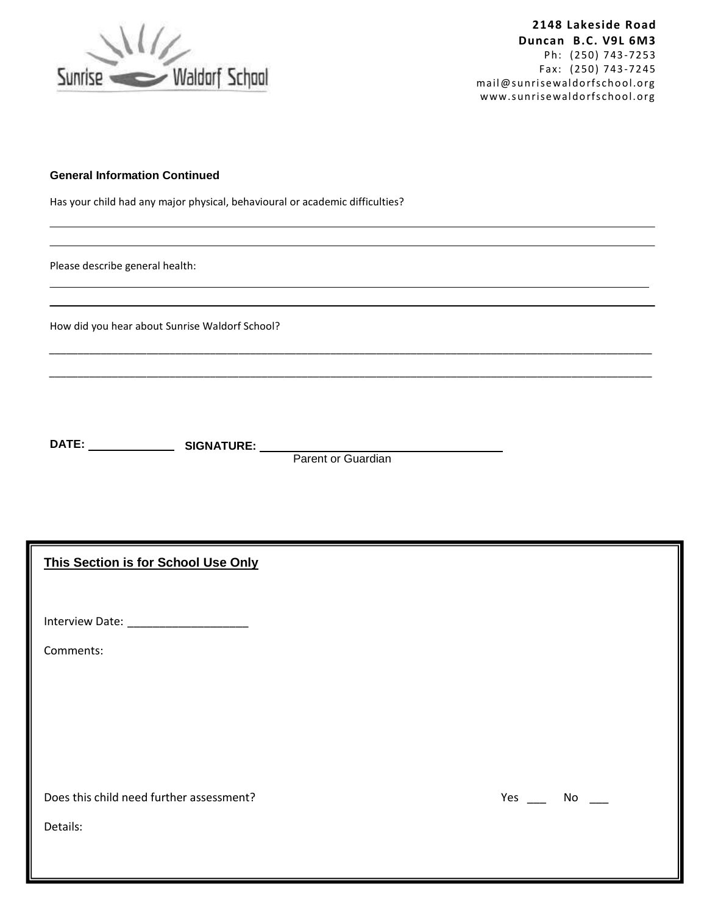

### **General Information Continued**

Has your child had any major physical, behavioural or academic difficulties?

Please describe general health:

How did you hear about Sunrise Waldorf School?

**DATE: SIGNATURE:**

Parent or Guardian

\_\_\_\_\_\_\_\_\_\_\_\_\_\_\_\_\_\_\_\_\_\_\_\_\_\_\_\_\_\_\_\_\_\_\_\_\_\_\_\_\_\_\_\_\_\_\_\_\_\_\_\_\_\_\_\_\_\_\_\_\_\_\_\_\_\_\_\_\_\_\_\_\_\_\_\_\_\_\_\_\_\_\_\_\_\_\_\_\_\_\_\_\_\_\_\_\_\_\_\_\_\_\_\_\_

\_\_\_\_\_\_\_\_\_\_\_\_\_\_\_\_\_\_\_\_\_\_\_\_\_\_\_\_\_\_\_\_\_\_\_\_\_\_\_\_\_\_\_\_\_\_\_\_\_\_\_\_\_\_\_\_\_\_\_\_\_\_\_\_\_\_\_\_\_\_\_\_\_\_\_\_\_\_\_\_\_\_\_\_\_\_\_\_\_\_\_\_\_\_\_\_\_\_\_\_\_\_\_\_\_

**This Section is for School Use Only**

Interview Date: \_\_\_\_\_\_\_\_\_\_\_\_\_\_\_\_\_\_\_

Comments:

Does this child need further assessment? The Manuson of the Vest Control of the Manuson of the Manuson of The Ma

Details: